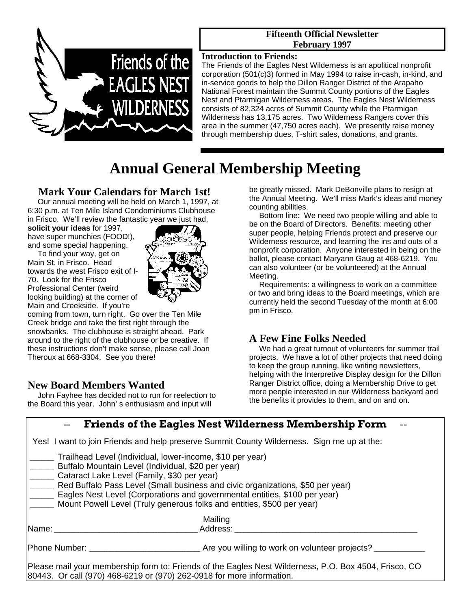

#### **Fifteenth Official Newsletter February 1997**

#### **Introduction to Friends:**

The Friends of the Eagles Nest Wilderness is an apolitical nonprofit corporation (501(c)3) formed in May 1994 to raise in-cash, in-kind, and in-service goods to help the Dillon Ranger District of the Arapaho National Forest maintain the Summit County portions of the Eagles Nest and Ptarmigan Wilderness areas. The Eagles Nest Wilderness consists of 82,324 acres of Summit County while the Ptarmigan Wilderness has 13,175 acres. Two Wilderness Rangers cover this area in the summer (47,750 acres each). We presently raise money through membership dues, T-shirt sales, donations, and grants.

# **Annual General Membership Meeting**

#### **Mark Your Calendars for March 1st!**

 Our annual meeting will be held on March 1, 1997, at 6:30 p.m. at Ten Mile Island Condominiums Clubhouse in Frisco. We'll review the fantastic year we just had,

**solicit your ideas** for 1997, have super munchies (FOOD!), and some special happening.

 To find your way, get on Main St. in Frisco. Head towards the west Frisco exit of I-70. Look for the Frisco Professional Center (weird looking building) at the corner of Main and Creekside. If you're



coming from town, turn right. Go over the Ten Mile Creek bridge and take the first right through the snowbanks. The clubhouse is straight ahead. Park around to the right of the clubhouse or be creative. If these instructions don't make sense, please call Joan Theroux at 668-3304. See you there!

# **New Board Members Wanted**

John Fayhee has decided not to run for reelection to the Board this year. John' s enthusiasm and input will

be greatly missed. Mark DeBonville plans to resign at the Annual Meeting. We'll miss Mark's ideas and money counting abilities.

 Bottom line: We need two people willing and able to be on the Board of Directors. Benefits: meeting other super people, helping Friends protect and preserve our Wilderness resource, and learning the ins and outs of a nonprofit corporation. Anyone interested in being on the ballot, please contact Maryann Gaug at 468-6219. You can also volunteer (or be volunteered) at the Annual Meeting.

 Requirements: a willingness to work on a committee or two and bring ideas to the Board meetings, which are currently held the second Tuesday of the month at 6:00 pm in Frisco.

# **A Few Fine Folks Needed**

We had a great turnout of volunteers for summer trail projects. We have a lot of other projects that need doing to keep the group running, like writing newsletters, helping with the Interpretive Display design for the Dillon Ranger District office, doing a Membership Drive to get more people interested in our Wilderness backyard and the benefits it provides to them, and on and on.

|                                                                                                                                                                                                                                | <b>Friends of the Eagles Nest Wilderness Membership Form</b>                                                                                                                                                                           |
|--------------------------------------------------------------------------------------------------------------------------------------------------------------------------------------------------------------------------------|----------------------------------------------------------------------------------------------------------------------------------------------------------------------------------------------------------------------------------------|
|                                                                                                                                                                                                                                | Yes! I want to join Friends and help preserve Summit County Wilderness. Sign me up at the:                                                                                                                                             |
| Trailhead Level (Individual, lower-income, \$10 per year)<br>Buffalo Mountain Level (Individual, \$20 per year)<br>Cataract Lake Level (Family, \$30 per year)                                                                 | Red Buffalo Pass Level (Small business and civic organizations, \$50 per year)<br>Eagles Nest Level (Corporations and governmental entities, \$100 per year)<br>Mount Powell Level (Truly generous folks and entities, \$500 per year) |
| Name: with the contract of the contract of the contract of the contract of the contract of the contract of the contract of the contract of the contract of the contract of the contract of the contract of the contract of the | Mailing<br>Address:                                                                                                                                                                                                                    |
|                                                                                                                                                                                                                                |                                                                                                                                                                                                                                        |
| 80443. Or call (970) 468-6219 or (970) 262-0918 for more information.                                                                                                                                                          | Please mail your membership form to: Friends of the Eagles Nest Wilderness, P.O. Box 4504, Frisco, CO                                                                                                                                  |